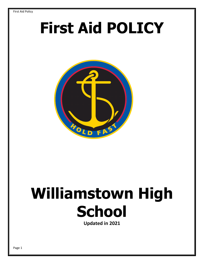# **First Aid POLICY**



# **Williamstown High School**

**Updated in 2021**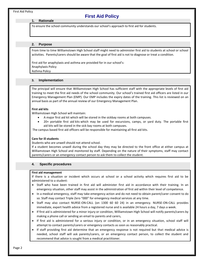# **First Aid Policy**

#### **1. Rationale**

To ensure the school community understands our school's approach to first aid for students.

# **2. Purpose**

From time to time Williamstown High School staff might need to administer first aid to students at school or school activities. Parents/carers should be aware that the goal of first aid is not to diagnose or treat a condition.

First aid for anaphylaxis and asthma are provided for in our school's: Anaphylaxis Policy Asthma Policy

#### **3. Implementation**

The principal will ensure that Williamstown High School has sufficient staff with the appropriate levels of first aid training to meet the first aid needs of the school community. Our school's trained first aid officers are listed in our Emergency Management Plan (EMP). Our EMP includes the expiry dates of the training. This list is reviewed on an annual basis as part of the annual review of our Emergency Management Plan.

#### **First aid kits**

Williamstown High School will maintain:

- A major first aid kit which will be stored in the sickbay rooms at both campuses.
- 20+ portable first aid kits which may be used for excursions, camps, or yard duty. The portable first aid kits will be stored in the sick bay rooms at both campuses.

The campus based first aid officers will be responsible for maintaining all first aid kits.

#### **Care for ill students**

Students who are unwell should not attend school.

If a student becomes unwell during the school day they may be directed to the front office at either campus at Williamstown High School and monitored by staff. Depending on the nature of their symptoms, staff may contact parents/carers or an emergency contact person to ask them to collect the student.

# **4. Specific procedures**

#### **First aid management**

If there is a situation or incident which occurs at school or a school activity which requires first aid to be administered to a student:

- Staff who have been trained in first aid will administer first aid in accordance with their training. In an emergency situation, other staff may assist in the administration of first aid within their level of competence.
- In a medical emergency, staff may take emergency action and do not need to obtain parent/carer consent to do so. Staff may contact Triple Zero "000" for emergency medical services at any time.
- Staff may also contact NURSE-ON-CALL (on 1300 60 60 24) in an emergency. NURSE-ON-CALL provides immediate, expert health advice from a registered nurse and is available 24 hours a day, 7 days a week.
- If first aid is administered for a minor injury or condition, Williamstown High School will notify parents/carers by making a phone call or sending an email to parents and carers,
- If first aid is administered for a serious injury or condition, or in an emergency situation, school staff will attempt to contact parents/carers or emergency contacts as soon as reasonably practical.
- If staff providing first aid determine that an emergency response is not required but that medical advice is needed, school staff will ask parents/carers, or an emergency contact person, to collect the student and recommend that advice is sought from a medical practitioner.